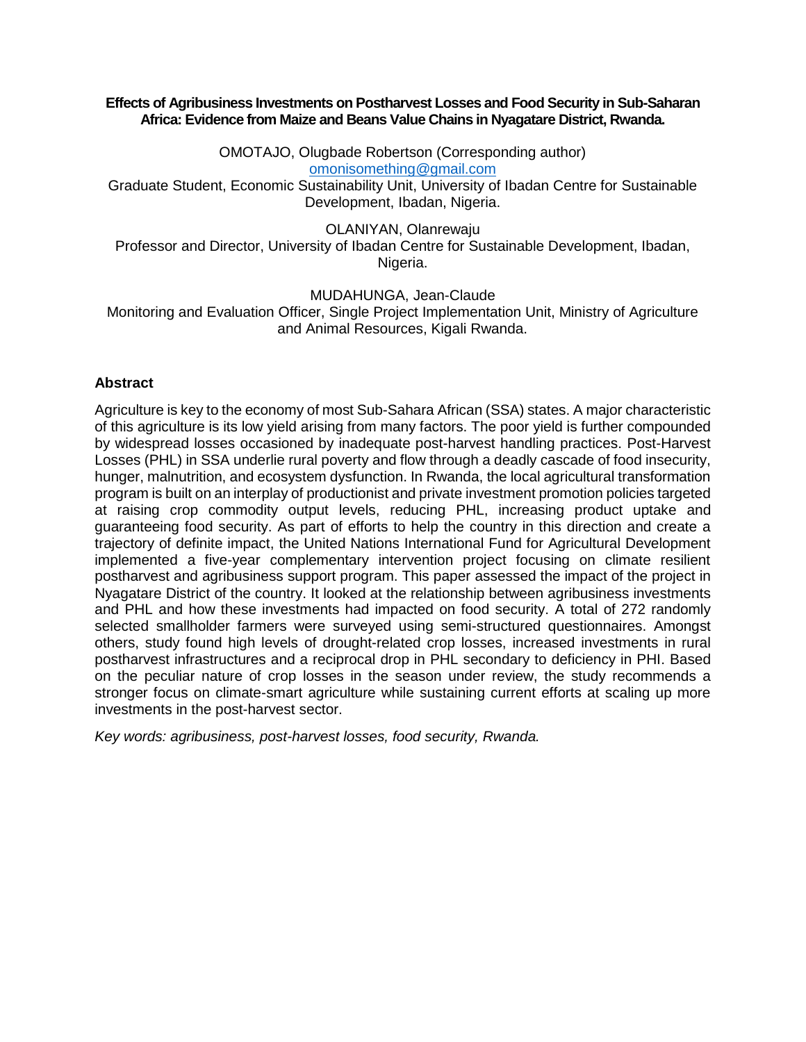#### **Effects of Agribusiness Investments on Postharvest Losses and Food Security in Sub-Saharan Africa: Evidence from Maize and Beans Value Chains in Nyagatare District, Rwanda.**

OMOTAJO, Olugbade Robertson (Corresponding author) [omonisomething@gmail.com](mailto:omonisomething@gmail.com)

Graduate Student, Economic Sustainability Unit, University of Ibadan Centre for Sustainable Development, Ibadan, Nigeria.

OLANIYAN, Olanrewaju

Professor and Director, University of Ibadan Centre for Sustainable Development, Ibadan, Nigeria.

MUDAHUNGA, Jean-Claude

Monitoring and Evaluation Officer, Single Project Implementation Unit, Ministry of Agriculture and Animal Resources, Kigali Rwanda.

### **Abstract**

Agriculture is key to the economy of most Sub-Sahara African (SSA) states. A major characteristic of this agriculture is its low yield arising from many factors. The poor yield is further compounded by widespread losses occasioned by inadequate post-harvest handling practices. Post-Harvest Losses (PHL) in SSA underlie rural poverty and flow through a deadly cascade of food insecurity, hunger, malnutrition, and ecosystem dysfunction. In Rwanda, the local agricultural transformation program is built on an interplay of productionist and private investment promotion policies targeted at raising crop commodity output levels, reducing PHL, increasing product uptake and guaranteeing food security. As part of efforts to help the country in this direction and create a trajectory of definite impact, the United Nations International Fund for Agricultural Development implemented a five-year complementary intervention project focusing on climate resilient postharvest and agribusiness support program. This paper assessed the impact of the project in Nyagatare District of the country. It looked at the relationship between agribusiness investments and PHL and how these investments had impacted on food security. A total of 272 randomly selected smallholder farmers were surveyed using semi-structured questionnaires. Amongst others, study found high levels of drought-related crop losses, increased investments in rural postharvest infrastructures and a reciprocal drop in PHL secondary to deficiency in PHI. Based on the peculiar nature of crop losses in the season under review, the study recommends a stronger focus on climate-smart agriculture while sustaining current efforts at scaling up more investments in the post-harvest sector.

*Key words: agribusiness, post-harvest losses, food security, Rwanda.*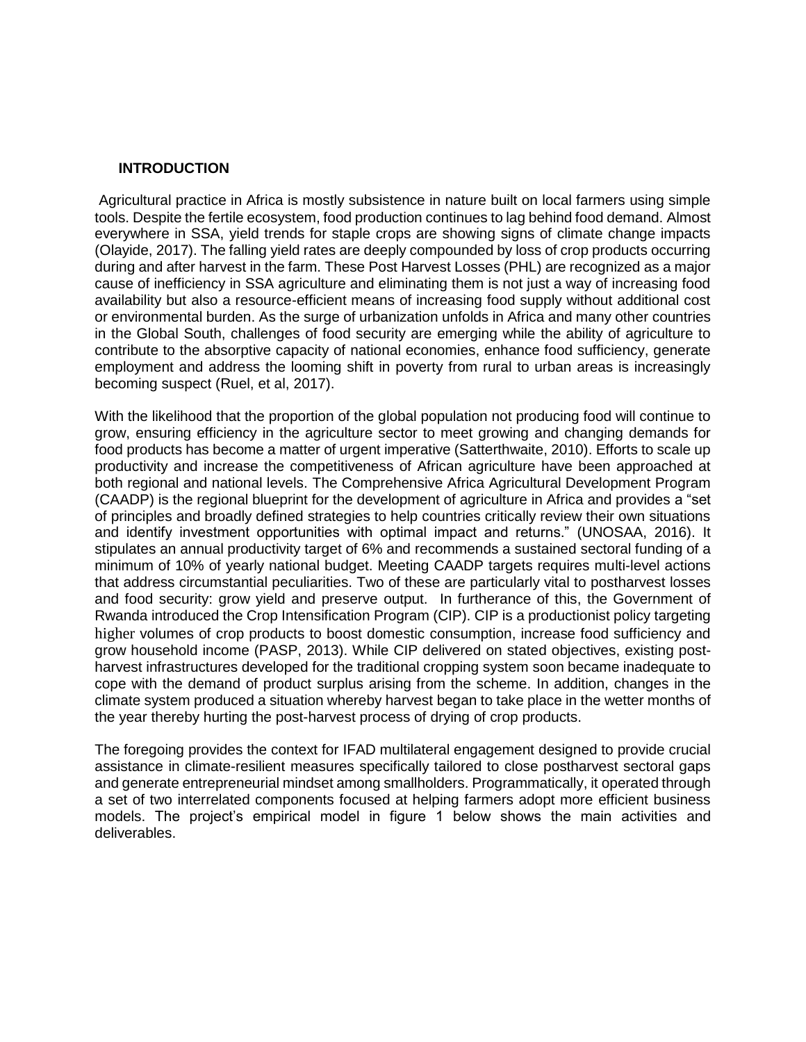## **INTRODUCTION**

Agricultural practice in Africa is mostly subsistence in nature built on local farmers using simple tools. Despite the fertile ecosystem, food production continues to lag behind food demand. Almost everywhere in SSA, yield trends for staple crops are showing signs of climate change impacts (Olayide, 2017). The falling yield rates are deeply compounded by loss of crop products occurring during and after harvest in the farm. These Post Harvest Losses (PHL) are recognized as a major cause of inefficiency in SSA agriculture and eliminating them is not just a way of increasing food availability but also a resource-efficient means of increasing food supply without additional cost or environmental burden. As the surge of urbanization unfolds in Africa and many other countries in the Global South, challenges of food security are emerging while the ability of agriculture to contribute to the absorptive capacity of national economies, enhance food sufficiency, generate employment and address the looming shift in poverty from rural to urban areas is increasingly becoming suspect (Ruel, et al, 2017).

With the likelihood that the proportion of the global population not producing food will continue to grow, ensuring efficiency in the agriculture sector to meet growing and changing demands for food products has become a matter of urgent imperative (Satterthwaite, 2010). Efforts to scale up productivity and increase the competitiveness of African agriculture have been approached at both regional and national levels. The Comprehensive Africa Agricultural Development Program (CAADP) is the regional blueprint for the development of agriculture in Africa and provides a "set of principles and broadly defined strategies to help countries critically review their own situations and identify investment opportunities with optimal impact and returns." (UNOSAA, 2016). It stipulates an annual productivity target of 6% and recommends a sustained sectoral funding of a minimum of 10% of yearly national budget. Meeting CAADP targets requires multi-level actions that address circumstantial peculiarities. Two of these are particularly vital to postharvest losses and food security: grow yield and preserve output. In furtherance of this, the Government of Rwanda introduced the Crop Intensification Program (CIP). CIP is a productionist policy targeting higher volumes of crop products to boost domestic consumption, increase food sufficiency and grow household income (PASP, 2013). While CIP delivered on stated objectives, existing postharvest infrastructures developed for the traditional cropping system soon became inadequate to cope with the demand of product surplus arising from the scheme. In addition, changes in the climate system produced a situation whereby harvest began to take place in the wetter months of the year thereby hurting the post-harvest process of drying of crop products.

The foregoing provides the context for IFAD multilateral engagement designed to provide crucial assistance in climate-resilient measures specifically tailored to close postharvest sectoral gaps and generate entrepreneurial mindset among smallholders. Programmatically, it operated through a set of two interrelated components focused at helping farmers adopt more efficient business models. The project's empirical model in figure 1 below shows the main activities and deliverables.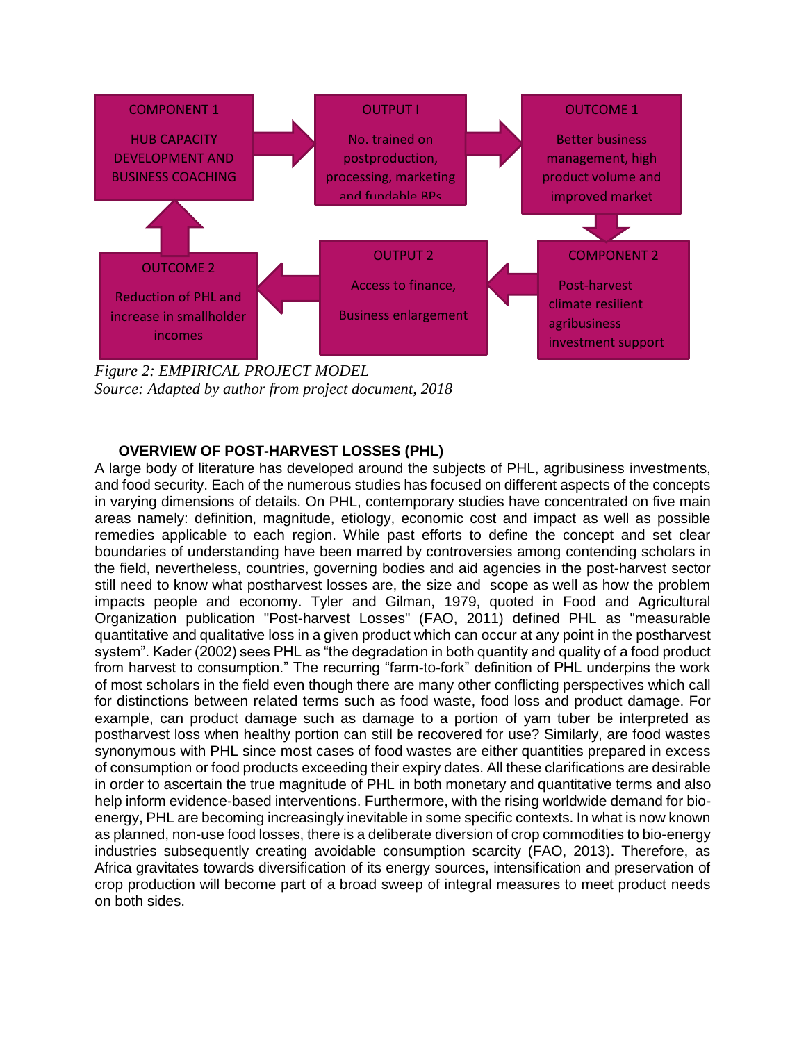

*Figure 2: EMPIRICAL PROJECT MODEL Source: Adapted by author from project document, 2018*

### **OVERVIEW OF POST-HARVEST LOSSES (PHL)**

A large body of literature has developed around the subjects of PHL, agribusiness investments, and food security. Each of the numerous studies has focused on different aspects of the concepts in varying dimensions of details. On PHL, contemporary studies have concentrated on five main areas namely: definition, magnitude, etiology, economic cost and impact as well as possible remedies applicable to each region. While past efforts to define the concept and set clear boundaries of understanding have been marred by controversies among contending scholars in the field, nevertheless, countries, governing bodies and aid agencies in the post-harvest sector still need to know what postharvest losses are, the size and scope as well as how the problem impacts people and economy. Tyler and Gilman, 1979, quoted in Food and Agricultural Organization publication "Post-harvest Losses" (FAO, 2011) defined PHL as "measurable quantitative and qualitative loss in a given product which can occur at any point in the postharvest system". Kader (2002) sees PHL as "the degradation in both quantity and quality of a food product from harvest to consumption." The recurring "farm-to-fork" definition of PHL underpins the work of most scholars in the field even though there are many other conflicting perspectives which call for distinctions between related terms such as food waste, food loss and product damage. For example, can product damage such as damage to a portion of yam tuber be interpreted as postharvest loss when healthy portion can still be recovered for use? Similarly, are food wastes synonymous with PHL since most cases of food wastes are either quantities prepared in excess of consumption or food products exceeding their expiry dates. All these clarifications are desirable in order to ascertain the true magnitude of PHL in both monetary and quantitative terms and also help inform evidence-based interventions. Furthermore, with the rising worldwide demand for bioenergy, PHL are becoming increasingly inevitable in some specific contexts. In what is now known as planned, non-use food losses, there is a deliberate diversion of crop commodities to bio-energy industries subsequently creating avoidable consumption scarcity (FAO, 2013). Therefore, as Africa gravitates towards diversification of its energy sources, intensification and preservation of crop production will become part of a broad sweep of integral measures to meet product needs on both sides.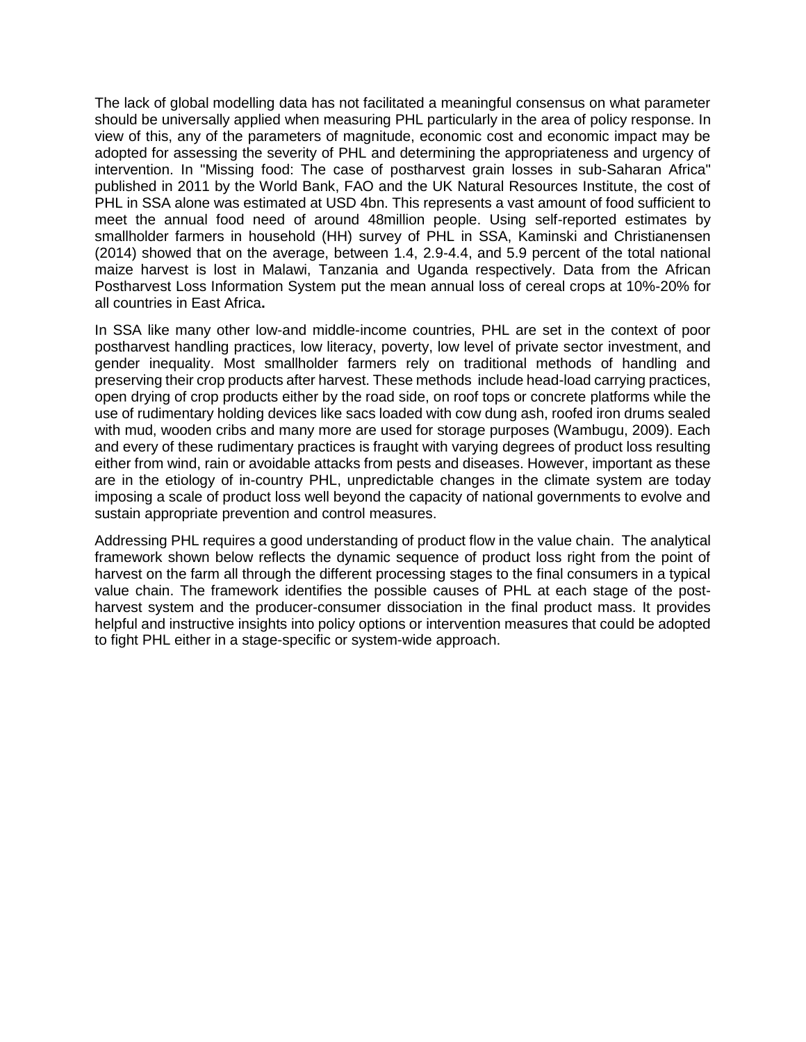The lack of global modelling data has not facilitated a meaningful consensus on what parameter should be universally applied when measuring PHL particularly in the area of policy response. In view of this, any of the parameters of magnitude, economic cost and economic impact may be adopted for assessing the severity of PHL and determining the appropriateness and urgency of intervention. In "Missing food: The case of postharvest grain losses in sub-Saharan Africa" published in 2011 by the World Bank, FAO and the UK Natural Resources Institute, the cost of PHL in SSA alone was estimated at USD 4bn. This represents a vast amount of food sufficient to meet the annual food need of around 48million people. Using self-reported estimates by smallholder farmers in household (HH) survey of PHL in SSA, Kaminski and Christianensen (2014) showed that on the average, between 1.4, 2.9-4.4, and 5.9 percent of the total national maize harvest is lost in Malawi, Tanzania and Uganda respectively. Data from the African Postharvest Loss Information System put the mean annual loss of cereal crops at 10%-20% for all countries in East Africa**.** 

In SSA like many other low-and middle-income countries, PHL are set in the context of poor postharvest handling practices, low literacy, poverty, low level of private sector investment, and gender inequality. Most smallholder farmers rely on traditional methods of handling and preserving their crop products after harvest. These methods include head-load carrying practices, open drying of crop products either by the road side, on roof tops or concrete platforms while the use of rudimentary holding devices like sacs loaded with cow dung ash, roofed iron drums sealed with mud, wooden cribs and many more are used for storage purposes (Wambugu, 2009). Each and every of these rudimentary practices is fraught with varying degrees of product loss resulting either from wind, rain or avoidable attacks from pests and diseases. However, important as these are in the etiology of in-country PHL, unpredictable changes in the climate system are today imposing a scale of product loss well beyond the capacity of national governments to evolve and sustain appropriate prevention and control measures.

Addressing PHL requires a good understanding of product flow in the value chain. The analytical framework shown below reflects the dynamic sequence of product loss right from the point of harvest on the farm all through the different processing stages to the final consumers in a typical value chain. The framework identifies the possible causes of PHL at each stage of the postharvest system and the producer-consumer dissociation in the final product mass. It provides helpful and instructive insights into policy options or intervention measures that could be adopted to fight PHL either in a stage-specific or system-wide approach.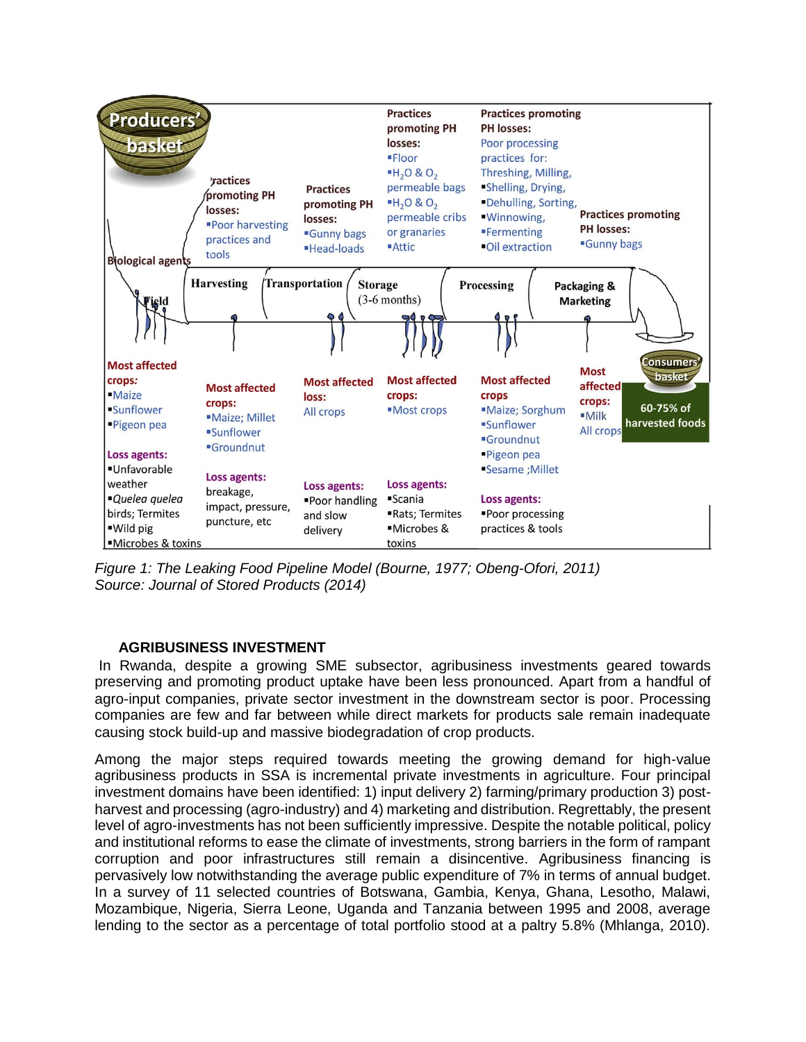

*Figure 1: The Leaking Food Pipeline Model (Bourne, 1977; Obeng-Ofori, 2011) Source: Journal of Stored Products (2014)*

## **AGRIBUSINESS INVESTMENT**

In Rwanda, despite a growing SME subsector, agribusiness investments geared towards preserving and promoting product uptake have been less pronounced. Apart from a handful of agro-input companies, private sector investment in the downstream sector is poor. Processing companies are few and far between while direct markets for products sale remain inadequate causing stock build-up and massive biodegradation of crop products.

Among the major steps required towards meeting the growing demand for high-value agribusiness products in SSA is incremental private investments in agriculture. Four principal investment domains have been identified: 1) input delivery 2) farming/primary production 3) postharvest and processing (agro-industry) and 4) marketing and distribution. Regrettably, the present level of agro-investments has not been sufficiently impressive. Despite the notable political, policy and institutional reforms to ease the climate of investments, strong barriers in the form of rampant corruption and poor infrastructures still remain a disincentive. Agribusiness financing is pervasively low notwithstanding the average public expenditure of 7% in terms of annual budget. In a survey of 11 selected countries of Botswana, Gambia, Kenya, Ghana, Lesotho, Malawi, Mozambique, Nigeria, Sierra Leone, Uganda and Tanzania between 1995 and 2008, average lending to the sector as a percentage of total portfolio stood at a paltry 5.8% (Mhlanga, 2010).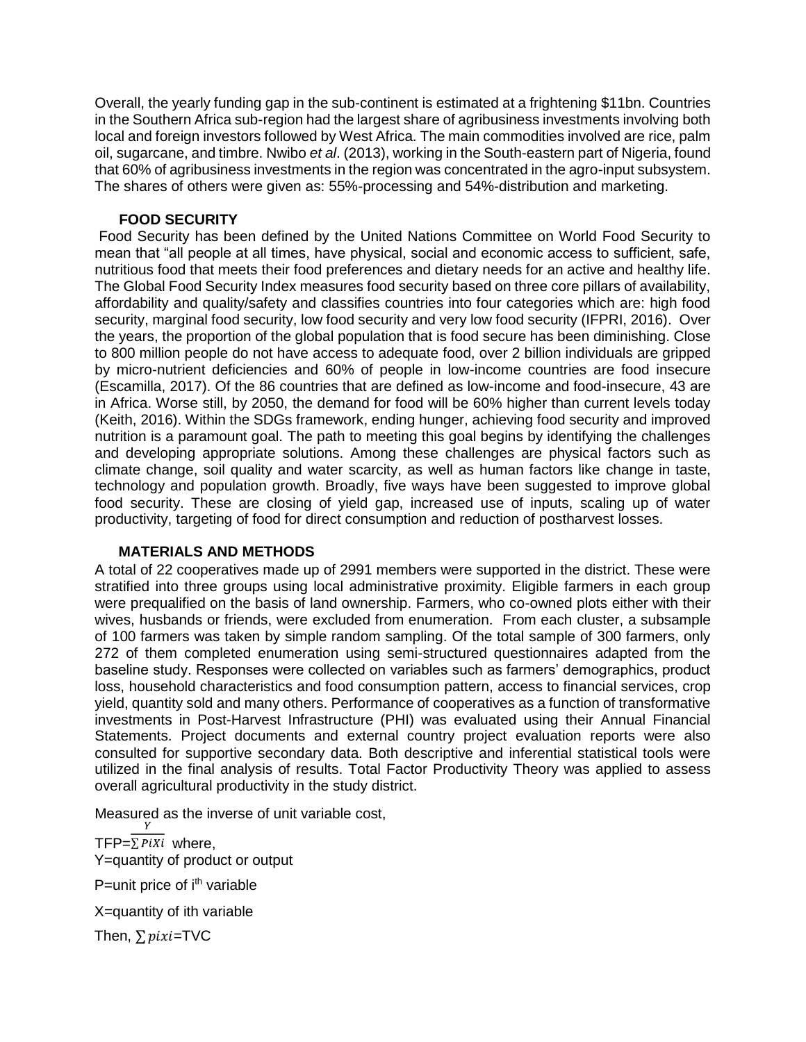Overall, the yearly funding gap in the sub-continent is estimated at a frightening \$11bn. Countries in the Southern Africa sub-region had the largest share of agribusiness investments involving both local and foreign investors followed by West Africa. The main commodities involved are rice, palm oil, sugarcane, and timbre. Nwibo *et al*. (2013), working in the South-eastern part of Nigeria, found that 60% of agribusiness investments in the region was concentrated in the agro-input subsystem. The shares of others were given as: 55%-processing and 54%-distribution and marketing.

## **FOOD SECURITY**

Food Security has been defined by the United Nations Committee on World Food Security to mean that "all people at all times, have physical, social and economic access to sufficient, safe, nutritious food that meets their food preferences and dietary needs for an active and healthy life. The Global Food Security Index measures food security based on three core pillars of availability, affordability and quality/safety and classifies countries into four categories which are: high food security, marginal food security, low food security and very low food security (IFPRI, 2016). Over the years, the proportion of the global population that is food secure has been diminishing. Close to 800 million people do not have access to adequate food, over 2 billion individuals are gripped by micro-nutrient deficiencies and 60% of people in low-income countries are food insecure (Escamilla, 2017). Of the 86 countries that are defined as low-income and food-insecure, 43 are in Africa. Worse still, by 2050, the demand for food will be 60% higher than current levels today (Keith, 2016). Within the SDGs framework, ending hunger, achieving food security and improved nutrition is a paramount goal. The path to meeting this goal begins by identifying the challenges and developing appropriate solutions. Among these challenges are physical factors such as climate change, soil quality and water scarcity, as well as human factors like change in taste, technology and population growth. Broadly, five ways have been suggested to improve global food security. These are closing of yield gap, increased use of inputs, scaling up of water productivity, targeting of food for direct consumption and reduction of postharvest losses.

## **MATERIALS AND METHODS**

A total of 22 cooperatives made up of 2991 members were supported in the district. These were stratified into three groups using local administrative proximity. Eligible farmers in each group were prequalified on the basis of land ownership. Farmers, who co-owned plots either with their wives, husbands or friends, were excluded from enumeration. From each cluster, a subsample of 100 farmers was taken by simple random sampling. Of the total sample of 300 farmers, only 272 of them completed enumeration using semi-structured questionnaires adapted from the baseline study. Responses were collected on variables such as farmers' demographics, product loss, household characteristics and food consumption pattern, access to financial services, crop yield, quantity sold and many others. Performance of cooperatives as a function of transformative investments in Post-Harvest Infrastructure (PHI) was evaluated using their Annual Financial Statements. Project documents and external country project evaluation reports were also consulted for supportive secondary data. Both descriptive and inferential statistical tools were utilized in the final analysis of results. Total Factor Productivity Theory was applied to assess overall agricultural productivity in the study district.

Measured as the inverse of unit variable cost,

TFP= $\sum P_i X_i$  where, Y=quantity of product or output P=unit price of i<sup>th</sup> variable X=quantity of ith variable Then,  $\sum$ *pixi*=TVC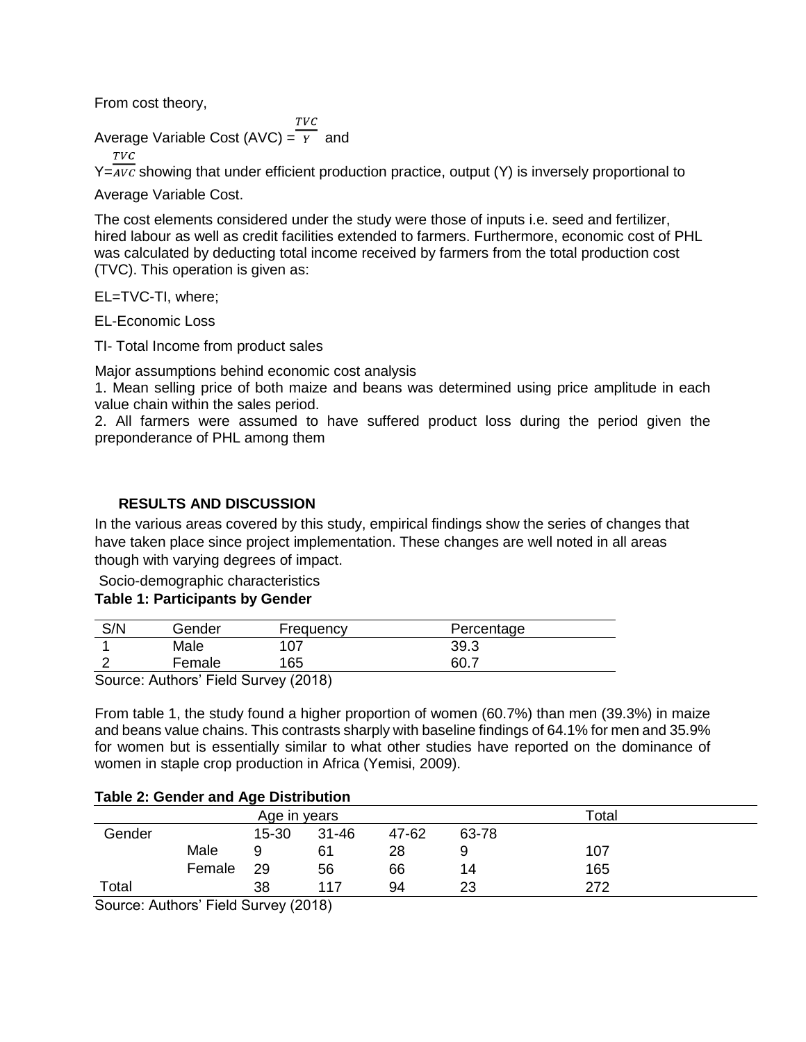From cost theory,

 $TVC$ Average Variable Cost (AVC) =  $\overline{Y}$  and

**TVC** 

 $Y=$  avc showing that under efficient production practice, output (Y) is inversely proportional to

Average Variable Cost.

The cost elements considered under the study were those of inputs i.e. seed and fertilizer, hired labour as well as credit facilities extended to farmers. Furthermore, economic cost of PHL was calculated by deducting total income received by farmers from the total production cost (TVC). This operation is given as:

EL=TVC-TI, where;

EL-Economic Loss

TI- Total Income from product sales

Major assumptions behind economic cost analysis

1. Mean selling price of both maize and beans was determined using price amplitude in each value chain within the sales period.

2. All farmers were assumed to have suffered product loss during the period given the preponderance of PHL among them

# **RESULTS AND DISCUSSION**

In the various areas covered by this study, empirical findings show the series of changes that have taken place since project implementation. These changes are well noted in all areas though with varying degrees of impact.

Socio-demographic characteristics

# **Table 1: Participants by Gender**

| S/N    | Gender             | Frequency  | Percentage |  |
|--------|--------------------|------------|------------|--|
|        | Male               | 107        | 39.3       |  |
|        | Female             | 165        | 60.7       |  |
| $\sim$ | .<br>$\sim$ $\sim$ | $\sqrt{2}$ |            |  |

Source: Authors' Field Survey (2018)

From table 1, the study found a higher proportion of women (60.7%) than men (39.3%) in maize and beans value chains. This contrasts sharply with baseline findings of 64.1% for men and 35.9% for women but is essentially similar to what other studies have reported on the dominance of women in staple crop production in Africa (Yemisi, 2009).

## **Table 2: Gender and Age Distribution**

|        |        | Age in years |       |       |       | Total |  |
|--------|--------|--------------|-------|-------|-------|-------|--|
| Gender |        | $15 - 30$    | 31-46 | 47-62 | 63-78 |       |  |
|        | Male   | 9            | 61    | 28    |       | 107   |  |
|        | Female | 29           | 56    | 66    | 14    | 165   |  |
| Total  |        | 38           | 117   | 94    | 23    | 272   |  |

Source: Authors' Field Survey (2018)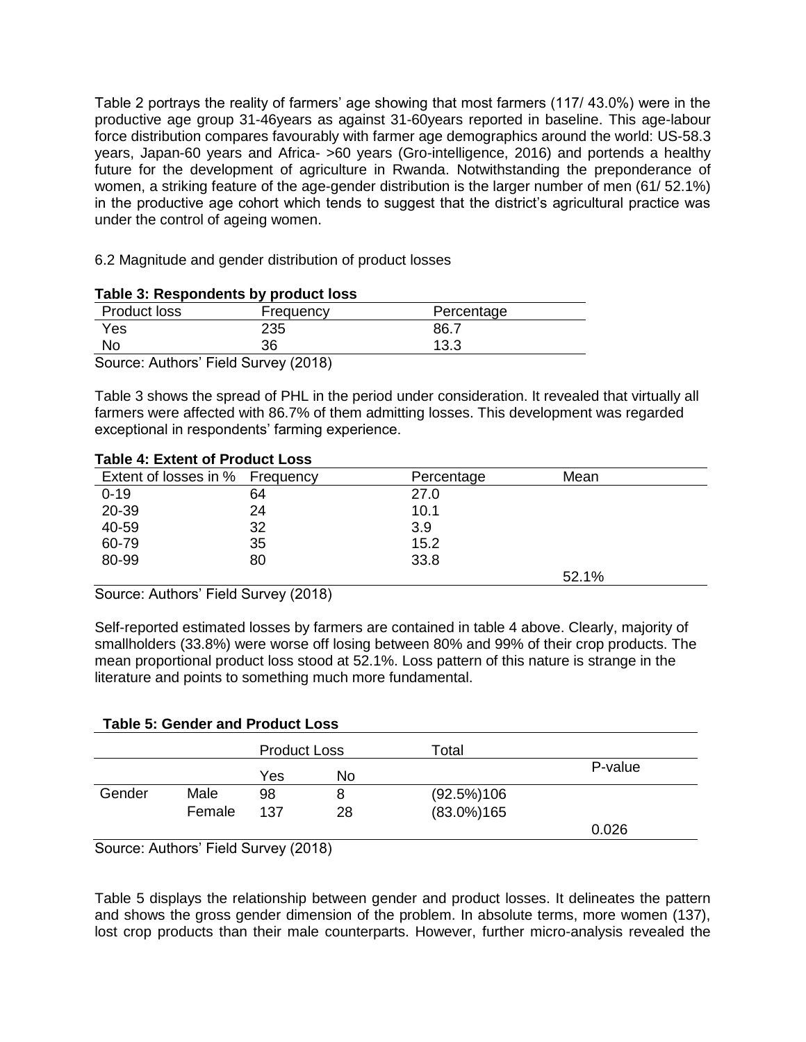Table 2 portrays the reality of farmers' age showing that most farmers (117/ 43.0%) were in the productive age group 31-46years as against 31-60years reported in baseline. This age-labour force distribution compares favourably with farmer age demographics around the world: US-58.3 years, Japan-60 years and Africa- >60 years (Gro-intelligence, 2016) and portends a healthy future for the development of agriculture in Rwanda. Notwithstanding the preponderance of women, a striking feature of the age-gender distribution is the larger number of men (61/ 52.1%) in the productive age cohort which tends to suggest that the district's agricultural practice was under the control of ageing women.

6.2 Magnitude and gender distribution of product losses

|                  | Table 5. Respondents by product 1055 |            |  |
|------------------|--------------------------------------|------------|--|
| Product loss     | Frequency                            | Percentage |  |
| Yes              | 235                                  | 86.7       |  |
| No               | 36                                   | 13.3       |  |
| $\sim$<br>$\sim$ | $\sqrt{2}$<br>.                      |            |  |

### **Table 3: Respondents by product loss**

Source: Authors' Field Survey (2018)

Table 3 shows the spread of PHL in the period under consideration. It revealed that virtually all farmers were affected with 86.7% of them admitting losses. This development was regarded exceptional in respondents' farming experience.

### **Table 4: Extent of Product Loss**

| Extent of losses in % Frequency |    | Percentage | Mean  |
|---------------------------------|----|------------|-------|
| $0 - 19$                        | 64 | 27.0       |       |
| 20-39                           | 24 | 10.1       |       |
| 40-59                           | 32 | 3.9        |       |
| 60-79                           | 35 | 15.2       |       |
| 80-99                           | 80 | 33.8       |       |
|                                 |    |            | 52.1% |

Source: Authors' Field Survey (2018)

Self-reported estimated losses by farmers are contained in table 4 above. Clearly, majority of smallholders (33.8%) were worse off losing between 80% and 99% of their crop products. The mean proportional product loss stood at 52.1%. Loss pattern of this nature is strange in the literature and points to something much more fundamental.

## **Table 5: Gender and Product Loss**

|        |        | <b>Product Loss</b> |    | Total          |         |
|--------|--------|---------------------|----|----------------|---------|
|        |        | Yes                 | No |                | P-value |
| Gender | Male   | 98                  | 8  | (92.5%)106     |         |
|        | Female | 137                 | 28 | $(83.0\%)$ 165 |         |
|        |        |                     |    |                | 0.026   |

Source: Authors' Field Survey (2018)

Table 5 displays the relationship between gender and product losses. It delineates the pattern and shows the gross gender dimension of the problem. In absolute terms, more women (137), lost crop products than their male counterparts. However, further micro-analysis revealed the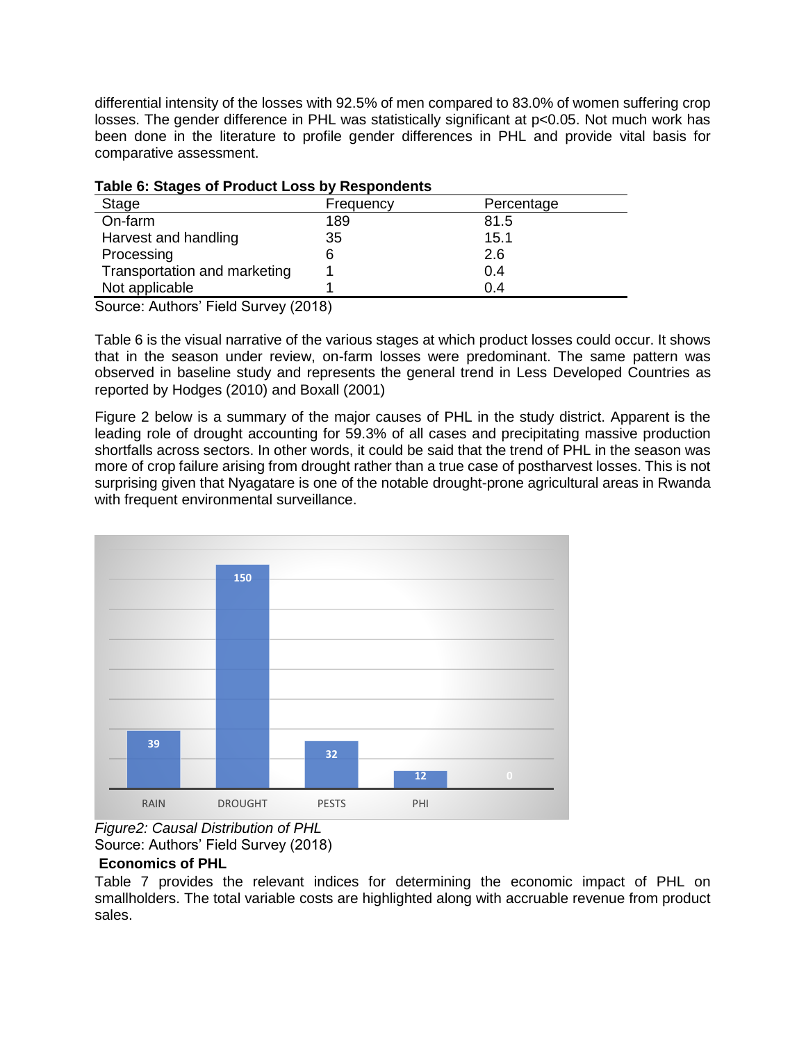differential intensity of the losses with 92.5% of men compared to 83.0% of women suffering crop losses. The gender difference in PHL was statistically significant at p<0.05. Not much work has been done in the literature to profile gender differences in PHL and provide vital basis for comparative assessment.

| Table 6. Stayes of Frought Loss by Respondents |           |            |  |  |  |  |
|------------------------------------------------|-----------|------------|--|--|--|--|
| Stage                                          | Frequency | Percentage |  |  |  |  |
| On-farm                                        | 189       | 81.5       |  |  |  |  |
| Harvest and handling                           | 35        | 15.1       |  |  |  |  |
| Processing                                     | 6         | 2.6        |  |  |  |  |
| Transportation and marketing                   |           | 0.4        |  |  |  |  |
| Not applicable                                 |           | 0.4        |  |  |  |  |

**Table 6: Stages of Product Loss by Respondents**

Source: Authors' Field Survey (2018)

Table 6 is the visual narrative of the various stages at which product losses could occur. It shows that in the season under review, on-farm losses were predominant. The same pattern was observed in baseline study and represents the general trend in Less Developed Countries as reported by Hodges (2010) and Boxall (2001)

Figure 2 below is a summary of the major causes of PHL in the study district. Apparent is the leading role of drought accounting for 59.3% of all cases and precipitating massive production shortfalls across sectors. In other words, it could be said that the trend of PHL in the season was more of crop failure arising from drought rather than a true case of postharvest losses. This is not surprising given that Nyagatare is one of the notable drought-prone agricultural areas in Rwanda with frequent environmental surveillance.



*Figure2: Causal Distribution of PHL* Source: Authors' Field Survey (2018)

## **Economics of PHL**

Table 7 provides the relevant indices for determining the economic impact of PHL on smallholders. The total variable costs are highlighted along with accruable revenue from product sales.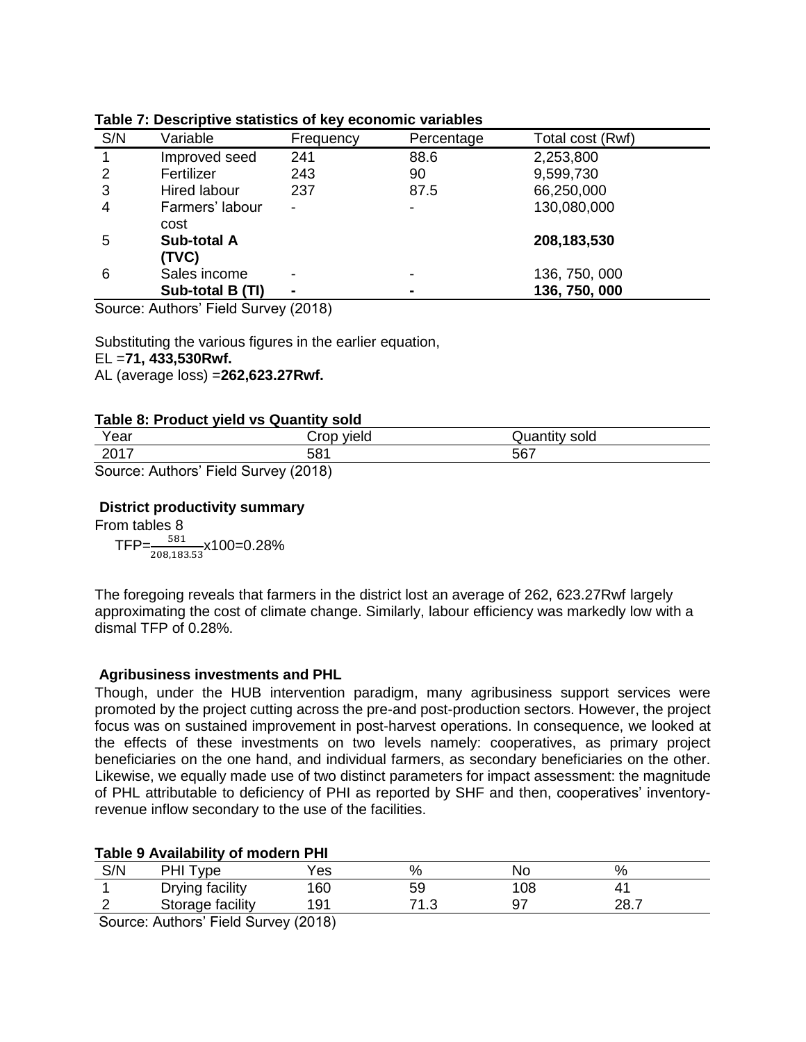| S/N | Variable                    | Frequency                | Percentage               | Total cost (Rwf) |
|-----|-----------------------------|--------------------------|--------------------------|------------------|
|     | Improved seed               | 241                      | 88.6                     | 2,253,800        |
| 2   | Fertilizer                  | 243                      | 90                       | 9,599,730        |
| 3   | Hired labour                | 237                      | 87.5                     | 66,250,000       |
| 4   | Farmers' labour<br>cost     | -                        | $\overline{\phantom{a}}$ | 130,080,000      |
| 5   | <b>Sub-total A</b><br>(TVC) |                          |                          | 208,183,530      |
| 6   | Sales income                | $\overline{\phantom{0}}$ | $\overline{\phantom{0}}$ | 136, 750, 000    |
|     | Sub-total B (TI)            |                          | $\blacksquare$           | 136, 750, 000    |

#### **Table 7: Descriptive statistics of key economic variables**

Source: Authors' Field Survey (2018)

Substituting the various figures in the earlier equation,

EL =**71, 433,530Rwf.**

AL (average loss) =**262,623.27Rwf.**

### **Table 8: Product yield vs Quantity sold**

| Year                                                              | ⊖ror<br>/ieic | sold               |  |  |
|-------------------------------------------------------------------|---------------|--------------------|--|--|
| 0017<br>20 I I                                                    | 581           | <b>-07</b><br>JU 1 |  |  |
| $O_{\text{current}}$ , Authors' Field $O_{\text{current}}$ (0040) |               |                    |  |  |

Source: Authors' Field Survey (2018)

## **District productivity summary**

From tables 8

 $\mathsf{TFP}\text{=}\frac{581}{208{,}183.53}$ x100=0.28%

The foregoing reveals that farmers in the district lost an average of 262, 623.27Rwf largely approximating the cost of climate change. Similarly, labour efficiency was markedly low with a dismal TFP of 0.28%.

## **Agribusiness investments and PHL**

Though, under the HUB intervention paradigm, many agribusiness support services were promoted by the project cutting across the pre-and post-production sectors. However, the project focus was on sustained improvement in post-harvest operations. In consequence, we looked at the effects of these investments on two levels namely: cooperatives, as primary project beneficiaries on the one hand, and individual farmers, as secondary beneficiaries on the other. Likewise, we equally made use of two distinct parameters for impact assessment: the magnitude of PHL attributable to deficiency of PHI as reported by SHF and then, cooperatives' inventoryrevenue inflow secondary to the use of the facilities.

### **Table 9 Availability of modern PHI**

| <b>C/NI</b><br>۱۱/ب | vne<br>٦п              | es'  | о,<br>⁄٥                | Nο |           |
|---------------------|------------------------|------|-------------------------|----|-----------|
|                     | <b>Drying facility</b> | 160  | 59                      | 08 |           |
|                     | Storage facility       | 01 ا | ∼ י<br>$\cdot$ . $\cup$ |    | າວ<br>ں ت |
| ___                 | _______                | .    |                         |    |           |

Source: Authors' Field Survey (2018)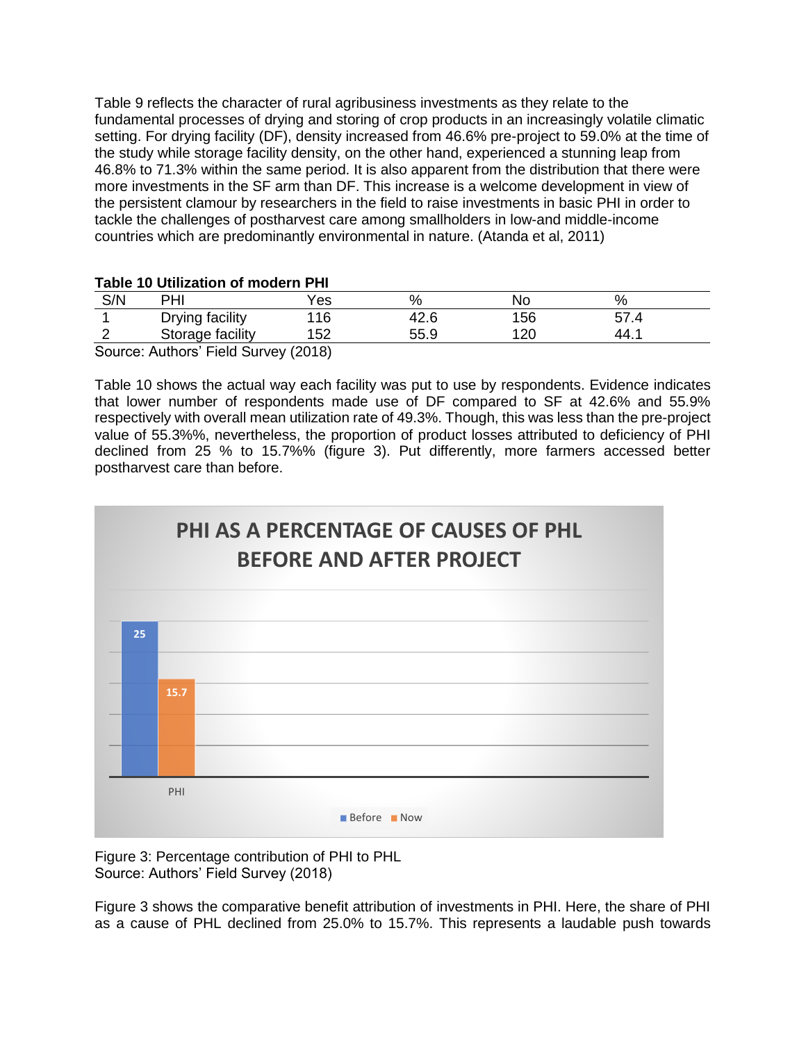Table 9 reflects the character of rural agribusiness investments as they relate to the fundamental processes of drying and storing of crop products in an increasingly volatile climatic setting. For drying facility (DF), density increased from 46.6% pre-project to 59.0% at the time of the study while storage facility density, on the other hand, experienced a stunning leap from 46.8% to 71.3% within the same period. It is also apparent from the distribution that there were more investments in the SF arm than DF. This increase is a welcome development in view of the persistent clamour by researchers in the field to raise investments in basic PHI in order to tackle the challenges of postharvest care among smallholders in low-and middle-income countries which are predominantly environmental in nature. (Atanda et al, 2011)

#### **Table 10 Utilization of modern PHI**

| S/N | PHI                                  | ′es | %    | Nο  | %      |
|-----|--------------------------------------|-----|------|-----|--------|
|     | Drying facility                      | 16  | 72.U | 156 |        |
|     | Storage facility                     | 52  | 55.9 | 120 | -44. . |
|     | Source: Authors' Field Survey (2018) |     |      |     |        |

Source: Authors' Field Survey (2018)

Table 10 shows the actual way each facility was put to use by respondents. Evidence indicates that lower number of respondents made use of DF compared to SF at 42.6% and 55.9% respectively with overall mean utilization rate of 49.3%. Though, this was less than the pre-project value of 55.3%%, nevertheless, the proportion of product losses attributed to deficiency of PHI declined from 25 % to 15.7%% (figure 3). Put differently, more farmers accessed better postharvest care than before.



Figure 3: Percentage contribution of PHI to PHL Source: Authors' Field Survey (2018)

Figure 3 shows the comparative benefit attribution of investments in PHI. Here, the share of PHI as a cause of PHL declined from 25.0% to 15.7%. This represents a laudable push towards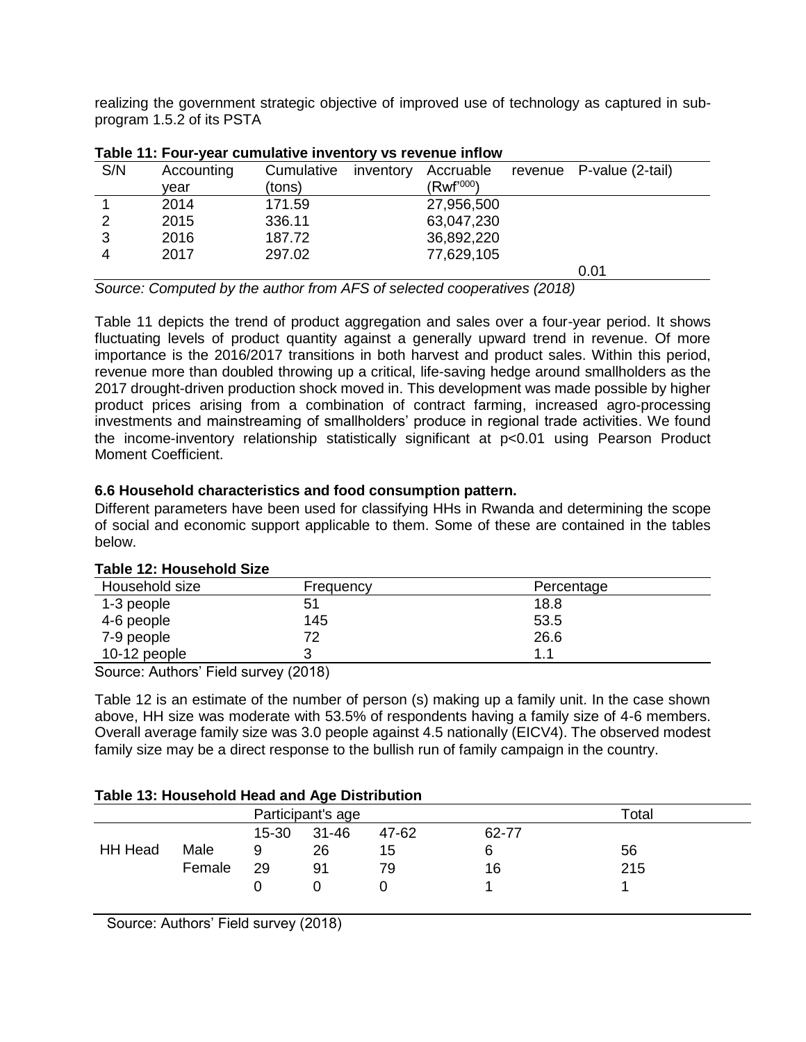realizing the government strategic objective of improved use of technology as captured in subprogram 1.5.2 of its PSTA

| S/N | Accounting | Cumulative | inventory | Accruable              | revenue P-value (2-tail) |
|-----|------------|------------|-----------|------------------------|--------------------------|
|     | vear       | (tons)     |           | (Rwf' <sup>000</sup> ) |                          |
|     | 2014       | 171.59     |           | 27,956,500             |                          |
| າ   | 2015       | 336.11     |           | 63,047,230             |                          |
| 3   | 2016       | 187.72     |           | 36,892,220             |                          |
|     | 2017       | 297.02     |           | 77,629,105             |                          |
|     |            |            |           |                        | 0.01                     |

#### **Table 11: Four-year cumulative inventory vs revenue inflow**

*Source: Computed by the author from AFS of selected cooperatives (2018)*

Table 11 depicts the trend of product aggregation and sales over a four-year period. It shows fluctuating levels of product quantity against a generally upward trend in revenue. Of more importance is the 2016/2017 transitions in both harvest and product sales. Within this period, revenue more than doubled throwing up a critical, life-saving hedge around smallholders as the 2017 drought-driven production shock moved in. This development was made possible by higher product prices arising from a combination of contract farming, increased agro-processing investments and mainstreaming of smallholders' produce in regional trade activities. We found the income-inventory relationship statistically significant at p<0.01 using Pearson Product Moment Coefficient.

### **6.6 Household characteristics and food consumption pattern.**

Different parameters have been used for classifying HHs in Rwanda and determining the scope of social and economic support applicable to them. Some of these are contained in the tables below.

| Household size                 | Frequency  | Percentage |  |
|--------------------------------|------------|------------|--|
| 1-3 people                     | 51         | 18.8       |  |
| 4-6 people                     | 145        | 53.5       |  |
| 7-9 people                     | 72         | 26.6       |  |
| 10-12 people                   |            | 11         |  |
| - -<br>$\sim$<br>$\sim$ $\sim$ | $\sqrt{2}$ |            |  |

### **Table 12: Household Size**

Source: Authors' Field survey (2018)

Table 12 is an estimate of the number of person (s) making up a family unit. In the case shown above, HH size was moderate with 53.5% of respondents having a family size of 4-6 members. Overall average family size was 3.0 people against 4.5 nationally (EICV4). The observed modest family size may be a direct response to the bullish run of family campaign in the country.

### **Table 13: Household Head and Age Distribution**

|                   |        |           | .         |       |       |             |  |
|-------------------|--------|-----------|-----------|-------|-------|-------------|--|
| Participant's age |        |           |           |       |       | $\tau$ otal |  |
|                   |        | $15 - 30$ | $31 - 46$ | 47-62 | 62-77 |             |  |
| <b>HH Head</b>    | Male   | 9         | 26        | 15    |       | 56          |  |
|                   | Female | 29        | 91        | 79    | 16    | 215         |  |
|                   |        |           |           |       |       |             |  |
|                   |        |           |           |       |       |             |  |

Source: Authors' Field survey (2018)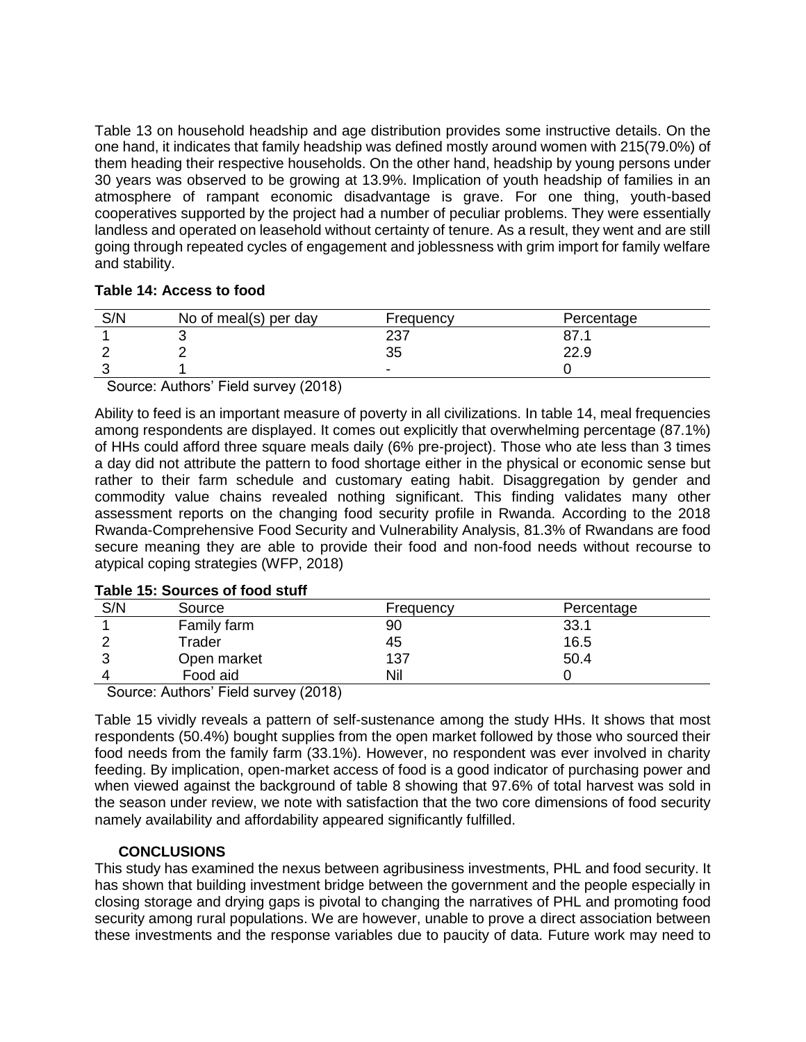Table 13 on household headship and age distribution provides some instructive details. On the one hand, it indicates that family headship was defined mostly around women with 215(79.0%) of them heading their respective households. On the other hand, headship by young persons under 30 years was observed to be growing at 13.9%. Implication of youth headship of families in an atmosphere of rampant economic disadvantage is grave. For one thing, youth-based cooperatives supported by the project had a number of peculiar problems. They were essentially landless and operated on leasehold without certainty of tenure. As a result, they went and are still going through repeated cycles of engagement and joblessness with grim import for family welfare and stability.

## **Table 14: Access to food**

| S/N | No of meal(s) per day | Frequency  | Percentage |
|-----|-----------------------|------------|------------|
|     |                       | דמר<br>، ب |            |
|     |                       | 35         | 22.9       |
|     |                       | -          |            |

Source: Authors' Field survey (2018)

Ability to feed is an important measure of poverty in all civilizations. In table 14, meal frequencies among respondents are displayed. It comes out explicitly that overwhelming percentage (87.1%) of HHs could afford three square meals daily (6% pre-project). Those who ate less than 3 times a day did not attribute the pattern to food shortage either in the physical or economic sense but rather to their farm schedule and customary eating habit. Disaggregation by gender and commodity value chains revealed nothing significant. This finding validates many other assessment reports on the changing food security profile in Rwanda. According to the 2018 Rwanda-Comprehensive Food Security and Vulnerability Analysis, 81.3% of Rwandans are food secure meaning they are able to provide their food and non-food needs without recourse to atypical coping strategies (WFP, 2018)

| S/N | Source      | Frequency | Percentage |
|-----|-------------|-----------|------------|
|     | Family farm | 90        | 33.1       |
|     | Trader      | 45        | 16.5       |
|     | Open market | 137       | 50.4       |
|     | Food aid    | Nil       |            |

**Table 15: Sources of food stuff**

Source: Authors' Field survey (2018)

Table 15 vividly reveals a pattern of self-sustenance among the study HHs. It shows that most respondents (50.4%) bought supplies from the open market followed by those who sourced their food needs from the family farm (33.1%). However, no respondent was ever involved in charity feeding. By implication, open-market access of food is a good indicator of purchasing power and when viewed against the background of table 8 showing that 97.6% of total harvest was sold in the season under review, we note with satisfaction that the two core dimensions of food security namely availability and affordability appeared significantly fulfilled.

## **CONCLUSIONS**

This study has examined the nexus between agribusiness investments, PHL and food security. It has shown that building investment bridge between the government and the people especially in closing storage and drying gaps is pivotal to changing the narratives of PHL and promoting food security among rural populations. We are however, unable to prove a direct association between these investments and the response variables due to paucity of data. Future work may need to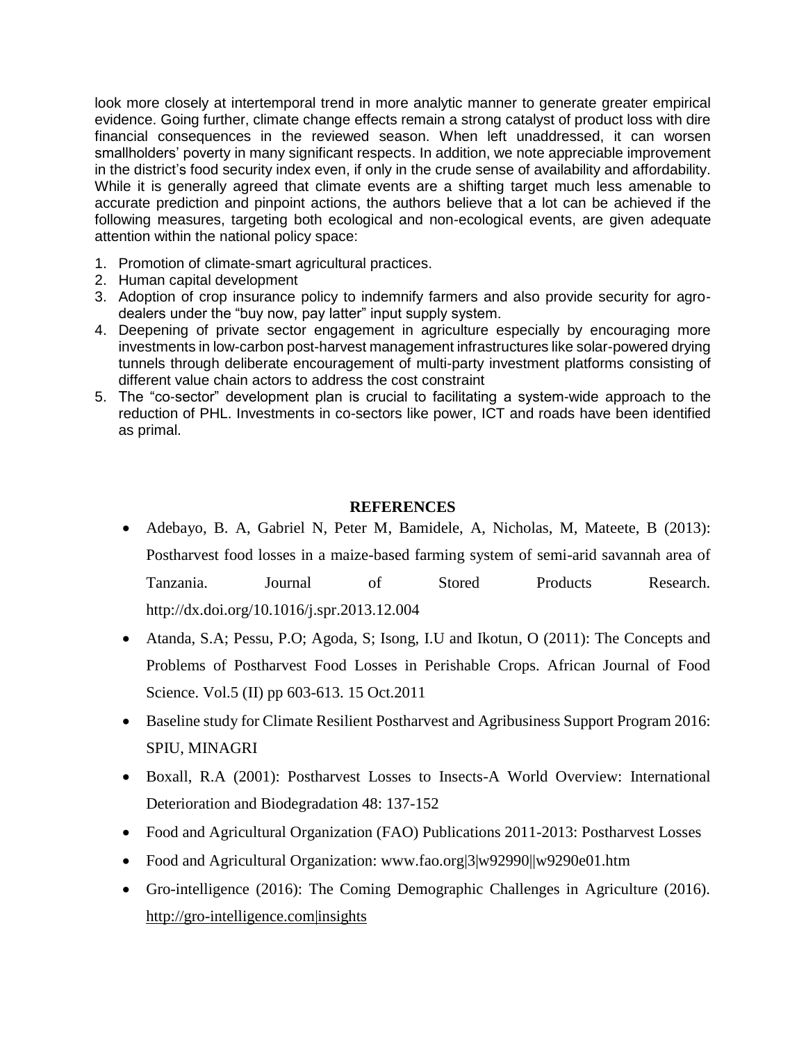look more closely at intertemporal trend in more analytic manner to generate greater empirical evidence. Going further, climate change effects remain a strong catalyst of product loss with dire financial consequences in the reviewed season. When left unaddressed, it can worsen smallholders' poverty in many significant respects. In addition, we note appreciable improvement in the district's food security index even, if only in the crude sense of availability and affordability. While it is generally agreed that climate events are a shifting target much less amenable to accurate prediction and pinpoint actions, the authors believe that a lot can be achieved if the following measures, targeting both ecological and non-ecological events, are given adequate attention within the national policy space:

- 1. Promotion of climate-smart agricultural practices.
- 2. Human capital development
- 3. Adoption of crop insurance policy to indemnify farmers and also provide security for agrodealers under the "buy now, pay latter" input supply system.
- 4. Deepening of private sector engagement in agriculture especially by encouraging more investments in low-carbon post-harvest management infrastructures like solar-powered drying tunnels through deliberate encouragement of multi-party investment platforms consisting of different value chain actors to address the cost constraint
- 5. The "co-sector" development plan is crucial to facilitating a system-wide approach to the reduction of PHL. Investments in co-sectors like power, ICT and roads have been identified as primal.

# **REFERENCES**

- Adebayo, B. A, Gabriel N, Peter M, Bamidele, A, Nicholas, M, Mateete, B (2013): Postharvest food losses in a maize-based farming system of semi-arid savannah area of Tanzania. Journal of Stored Products Research. http://dx.doi.org/10.1016/j.spr.2013.12.004
- Atanda, S.A; Pessu, P.O; Agoda, S; Isong, I.U and Ikotun, O (2011): The Concepts and Problems of Postharvest Food Losses in Perishable Crops. African Journal of Food Science. Vol.5 (II) pp 603-613. 15 Oct.2011
- Baseline study for Climate Resilient Postharvest and Agribusiness Support Program 2016: SPIU, MINAGRI
- Boxall, R.A (2001): Postharvest Losses to Insects-A World Overview: International Deterioration and Biodegradation 48: 137-152
- Food and Agricultural Organization (FAO) Publications 2011-2013: Postharvest Losses
- Food and Agricultural Organization: www.fao.org|3|w92990||w9290e01.htm
- Gro-intelligence (2016): The Coming Demographic Challenges in Agriculture (2016). http://gro-intelligence.com|insights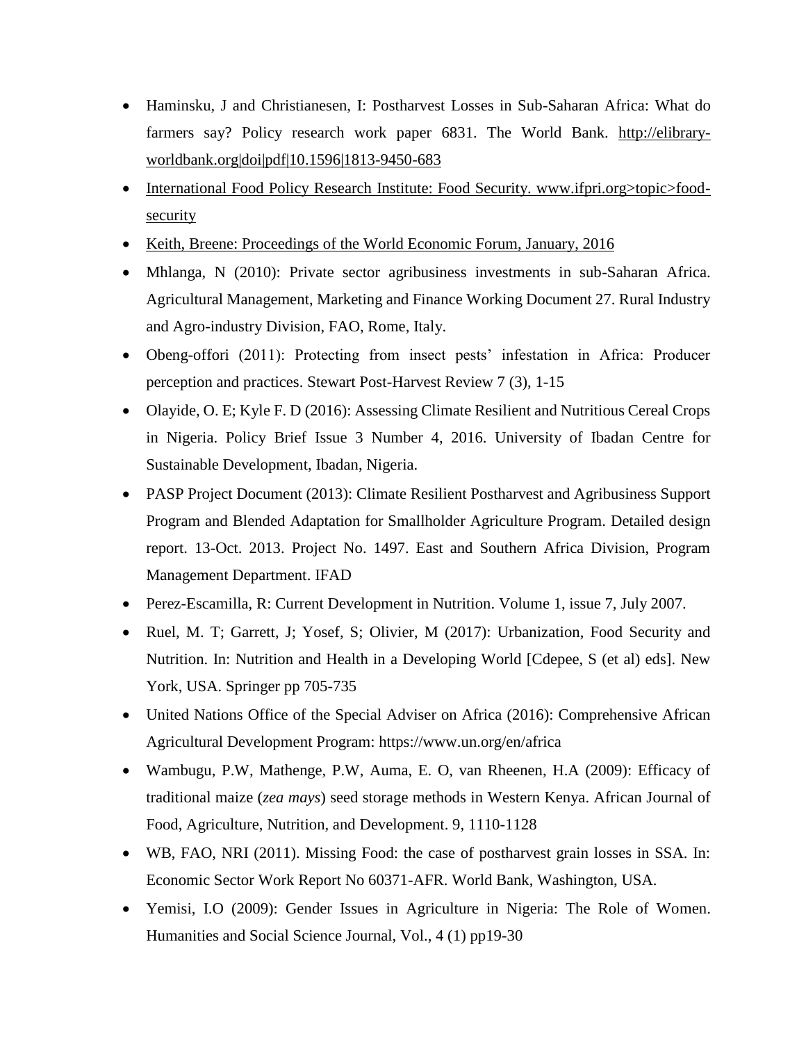- Haminsku, J and Christianesen, I: Postharvest Losses in Sub-Saharan Africa: What do farmers say? Policy research work paper 6831. The World Bank. http://elibraryworldbank.org|doi|pdf|10.1596|1813-9450-683
- International Food Policy Research Institute: Food Security. www.ifpri.org>topic>foodsecurity
- Keith, Breene: Proceedings of the World Economic Forum, January, 2016
- Mhlanga, N (2010): Private sector agribusiness investments in sub-Saharan Africa. Agricultural Management, Marketing and Finance Working Document 27. Rural Industry and Agro-industry Division, FAO, Rome, Italy.
- Obeng-offori (2011): Protecting from insect pests' infestation in Africa: Producer perception and practices. Stewart Post-Harvest Review 7 (3), 1-15
- Olayide, O. E; Kyle F. D (2016): Assessing Climate Resilient and Nutritious Cereal Crops in Nigeria. Policy Brief Issue 3 Number 4, 2016. University of Ibadan Centre for Sustainable Development, Ibadan, Nigeria.
- PASP Project Document (2013): Climate Resilient Postharvest and Agribusiness Support Program and Blended Adaptation for Smallholder Agriculture Program. Detailed design report. 13-Oct. 2013. Project No. 1497. East and Southern Africa Division, Program Management Department. IFAD
- Perez-Escamilla, R: Current Development in Nutrition. Volume 1, issue 7, July 2007.
- Ruel, M. T; Garrett, J; Yosef, S; Olivier, M (2017): Urbanization, Food Security and Nutrition. In: Nutrition and Health in a Developing World [Cdepee, S (et al) eds]. New York, USA. Springer pp 705-735
- United Nations Office of the Special Adviser on Africa (2016): Comprehensive African Agricultural Development Program: https://www.un.org/en/africa
- Wambugu, P.W, Mathenge, P.W, Auma, E. O, van Rheenen, H.A (2009): Efficacy of traditional maize (*zea mays*) seed storage methods in Western Kenya. African Journal of Food, Agriculture, Nutrition, and Development. 9, 1110-1128
- WB, FAO, NRI (2011). Missing Food: the case of postharvest grain losses in SSA. In: Economic Sector Work Report No 60371-AFR. World Bank, Washington, USA.
- Yemisi, I.O (2009): Gender Issues in Agriculture in Nigeria: The Role of Women. Humanities and Social Science Journal, Vol., 4 (1) pp19-30